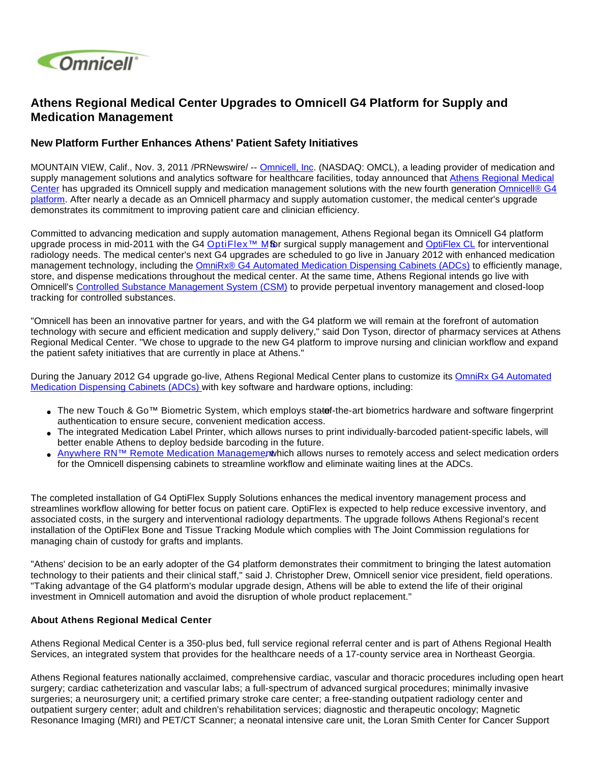

## **Athens Regional Medical Center Upgrades to Omnicell G4 Platform for Supply and Medication Management**

## **New Platform Further Enhances Athens' Patient Safety Initiatives**

MOUNTAIN VIEW, Calif., Nov. 3, 2011 /PRNewswire/ -- [Omnicell, Inc](http://www.omnicell.com/). (NASDAQ: OMCL), a leading provider of medication and supply management solutions and analytics software for healthcare facilities, today announced that Athens Regional Medical [Center](http://web1.armc.org/) has upgraded its Omnicell supply and medication management solutions with the new fourth generation Omnicell® G4 [platform](http://www.omnicell.com/Products.aspx). After nearly a decade as an Omnicell pharmacy and supply automation customer, the medical center's upgrade demonstrates its commitment to improving patient care and clinician efficiency.

Committed to advancing medication and supply automation management, Athens Regional began its Omnicell G4 platform upgrade process in mid-2011 with the G4 [OptiFlex™ M](http://www.omnicell.com/Products/Supply_Management/OptiFlex_MS_Medical_Surgical.aspx)&rsurgical supply management and [OptiFlex CL](http://www.omnicell.com/en/Products/Supply_Management/OptiFlex_CL_Procedural_Areas.aspx) for interventional radiology needs. The medical center's next G4 upgrades are scheduled to go live in January 2012 with enhanced medication management technology, including the [OmniRx® G4 Automated Medication Dispensing Cabinets \(ADCs\)](http://www.omnicell.com/en/Products/Medication_Dispensing/Automated_Medication_Dispensing_Cabinets.aspx) to efficiently manage, store, and dispense medications throughout the medical center. At the same time, Athens Regional intends go live with Omnicell's [Controlled Substance Management System \(CSM\)](http://www.omnicell.com/Products/Central_Pharmacy_Automation/Controlled_Substance_Management_System.aspx) to provide perpetual inventory management and closed-loop tracking for controlled substances.

"Omnicell has been an innovative partner for years, and with the G4 platform we will remain at the forefront of automation technology with secure and efficient medication and supply delivery," said Don Tyson, director of pharmacy services at Athens Regional Medical Center. "We chose to upgrade to the new G4 platform to improve nursing and clinician workflow and expand the patient safety initiatives that are currently in place at Athens."

During the January 2012 G4 upgrade go-live, Athens Regional Medical Center plans to customize its OmniRx G4 Automated [Medication Dispensing Cabinets \(ADCs\)](http://www.omnicell.com/en/Products/Medication_Dispensing/Automated_Medication_Dispensing_Cabinets.aspx) with key software and hardware options, including:

- The new Touch & Go™ Biometric System, which employs statef-the-art biometrics hardware and software fingerprint authentication to ensure secure, convenient medication access.
- The integrated Medication Label Printer, which allows nurses to print individually-barcoded patient-specific labels, will better enable Athens to deploy bedside barcoding in the future.
- [Anywhere RN™ Remote Medication Manageme](http://www.omnicell.com/Products/Medication_Dispensing/Anywhere_RN_Remote_Medication_Management.aspx)nt which allows nurses to remotely access and select medication orders for the Omnicell dispensing cabinets to streamline workflow and eliminate waiting lines at the ADCs.

The completed installation of G4 OptiFlex Supply Solutions enhances the medical inventory management process and streamlines workflow allowing for better focus on patient care. OptiFlex is expected to help reduce excessive inventory, and associated costs, in the surgery and interventional radiology departments. The upgrade follows Athens Regional's recent installation of the OptiFlex Bone and Tissue Tracking Module which complies with The Joint Commission regulations for managing chain of custody for grafts and implants.

"Athens' decision to be an early adopter of the G4 platform demonstrates their commitment to bringing the latest automation technology to their patients and their clinical staff," said J. Christopher Drew, Omnicell senior vice president, field operations. "Taking advantage of the G4 platform's modular upgrade design, Athens will be able to extend the life of their original investment in Omnicell automation and avoid the disruption of whole product replacement."

## **About Athens Regional Medical Center**

Athens Regional Medical Center is a 350-plus bed, full service regional referral center and is part of Athens Regional Health Services, an integrated system that provides for the healthcare needs of a 17-county service area in Northeast Georgia.

Athens Regional features nationally acclaimed, comprehensive cardiac, vascular and thoracic procedures including open heart surgery; cardiac catheterization and vascular labs; a full-spectrum of advanced surgical procedures; minimally invasive surgeries; a neurosurgery unit; a certified primary stroke care center; a free-standing outpatient radiology center and outpatient surgery center; adult and children's rehabilitation services; diagnostic and therapeutic oncology; Magnetic Resonance Imaging (MRI) and PET/CT Scanner; a neonatal intensive care unit, the Loran Smith Center for Cancer Support